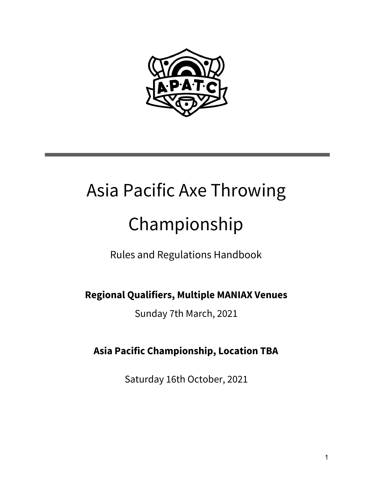

# Asia Pacific Axe Throwing Championship

Rules and Regulations Handbook

**Regional Qualifiers, Multiple MANIAX Venues**

Sunday 7th March, 2021

**Asia Pacific Championship, Location TBA**

Saturday 16th October, 2021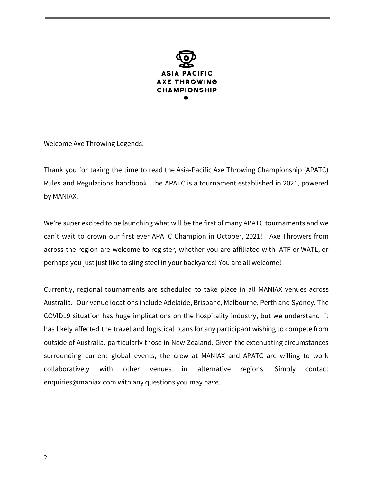

Welcome Axe Throwing Legends!

Thank you for taking the time to read the Asia-Pacific Axe Throwing Championship (APATC) Rules and Regulations handbook. The APATC is a tournament established in 2021, powered by MANIAX.

We're super excited to be launching what will be the first of many APATC tournaments and we can't wait to crown our first ever APATC Champion in October, 2021! Axe Throwers from across the region are welcome to register, whether you are affiliated with IATF or WATL, or perhaps you just just like to sling steel in your backyards! You are all welcome!

Currently, regional tournaments are scheduled to take place in all MANIAX venues across Australia. Our venue locations include Adelaide, Brisbane, Melbourne, Perth and Sydney. The COVID19 situation has huge implications on the hospitality industry, but we understand it has likely affected the travel and logistical plans for any participant wishing to compete from outside of Australia, particularly those in New Zealand. Given the extenuating circumstances surrounding current global events, the crew at MANIAX and APATC are willing to work collaboratively with other venues in alternative regions. Simply contact [enquiries@maniax.com](mailto:enquiries@maniax.com) with any questions you may have.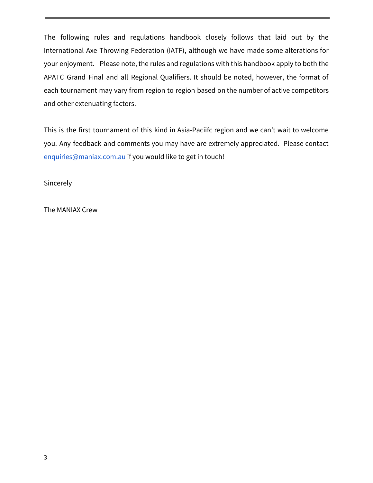The following rules and regulations handbook closely follows that laid out by the International Axe Throwing Federation (IATF), although we have made some alterations for your enjoyment. Please note, the rules and regulations with this handbook apply to both the APATC Grand Final and all Regional Qualifiers. It should be noted, however, the format of each tournament may vary from region to region based on the number of active competitors and other extenuating factors.

This is the first tournament of this kind in Asia-Paciifc region and we can't wait to welcome you. Any feedback and comments you may have are extremely appreciated. Please contact [enquiries@maniax.com.au](mailto:enquiries@maniax.com.au) if you would like to get in touch!

**Sincerely** 

The MANIAX Crew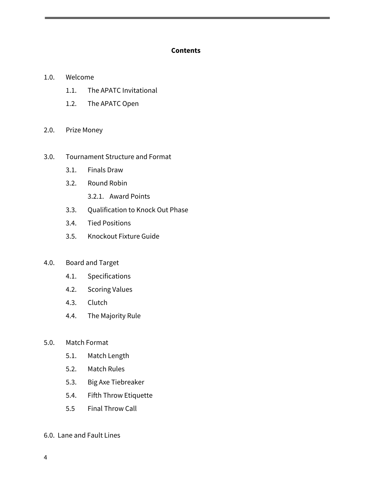#### **Contents**

- 1.0. Welcome
	- 1.1. The APATC Invitational
	- 1.2. The APATC Open
- 2.0. Prize Money

#### 3.0. Tournament Structure and Format

- 3.1. Finals Draw
- 3.2. Round Robin
	- 3.2.1. Award Points
- 3.3. Qualification to Knock Out Phase
- 3.4. Tied Positions
- 3.5. Knockout Fixture Guide
- 4.0. Board and Target
	- 4.1. Specifications
	- 4.2. Scoring Values
	- 4.3. Clutch
	- 4.4. The Majority Rule
- 5.0. Match Format
	- 5.1. Match Length
	- 5.2. Match Rules
	- 5.3. Big Axe Tiebreaker
	- 5.4. Fifth Throw Etiquette
	- 5.5 Final Throw Call
- 6.0. Lane and Fault Lines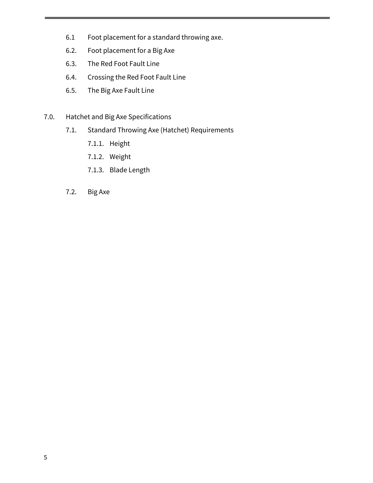- 6.1 Foot placement for a standard throwing axe.
- 6.2. Foot placement for a Big Axe
- 6.3. The Red Foot Fault Line
- 6.4. Crossing the Red Foot Fault Line
- 6.5. The Big Axe Fault Line
- 7.0. Hatchet and Big Axe Specifications
	- 7.1. Standard Throwing Axe (Hatchet) Requirements
		- 7.1.1. Height
		- 7.1.2. Weight
		- 7.1.3. Blade Length
	- 7.2. Big Axe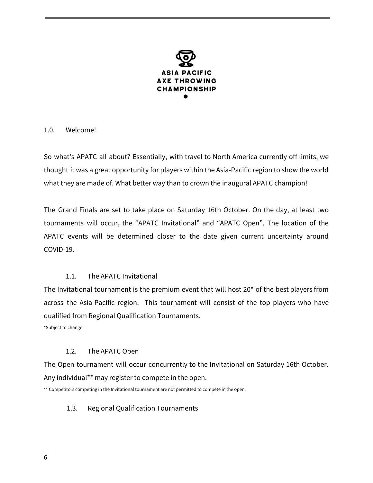

#### 1.0. Welcome!

So what's APATC all about? Essentially, with travel to North America currently off limits, we thought it was a great opportunity for players within the Asia-Pacific region to show the world what they are made of. What better way than to crown the inaugural APATC champion!

The Grand Finals are set to take place on Saturday 16th October. On the day, at least two tournaments will occur, the "APATC Invitational" and "APATC Open". The location of the APATC events will be determined closer to the date given current uncertainty around COVID-19.

# 1.1. The APATC Invitational

The Invitational tournament is the premium event that will host 20\* of the best players from across the Asia-Pacific region. This tournament will consist of the top players who have qualified from Regional Qualification Tournaments.

\*Subject to change

#### 1.2. The APATC Open

The Open tournament will occur concurrently to the Invitational on Saturday 16th October. Any individual\*\* may register to compete in the open.

\*\* Competitors competing in the Invitational tournament are not permitted to compete in the open.

#### 1.3. Regional Qualification Tournaments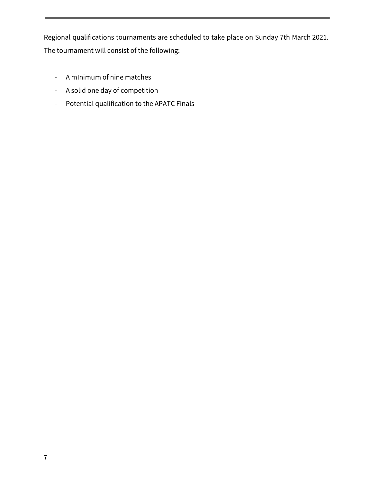Regional qualifications tournaments are scheduled to take place on Sunday 7th March 2021. The tournament will consist of the following:

- A mInimum of nine matches
- A solid one day of competition
- Potential qualification to the APATC Finals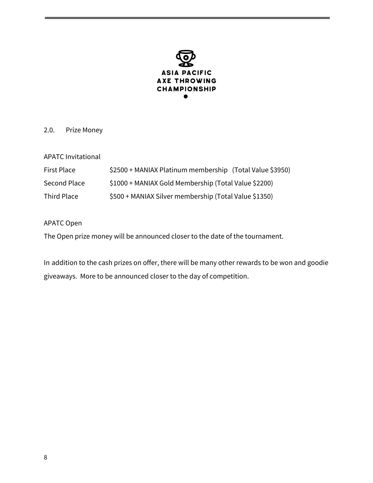

## 2.0. Prize Money

| <b>APATC Invitational</b> |
|---------------------------|
|                           |

| First Place  | \$2500 + MANIAX Platinum membership (Total Value \$3950) |
|--------------|----------------------------------------------------------|
| Second Place | \$1000 + MANIAX Gold Membership (Total Value \$2200)     |
| Third Place  | \$500 + MANIAX Silver membership (Total Value \$1350)    |

APATC Open

The Open prize money will be announced closer to the date of the tournament.

In addition to the cash prizes on offer, there will be many other rewards to be won and goodie giveaways. More to be announced closer to the day of competition.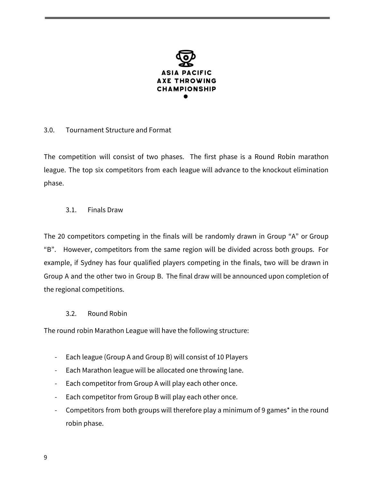

## 3.0. Tournament Structure and Format

The competition will consist of two phases. The first phase is a Round Robin marathon league. The top six competitors from each league will advance to the knockout elimination phase.

#### 3.1. Finals Draw

The 20 competitors competing in the finals will be randomly drawn in Group "A" or Group "B". However, competitors from the same region will be divided across both groups. For example, if Sydney has four qualified players competing in the finals, two will be drawn in Group A and the other two in Group B. The final draw will be announced upon completion of the regional competitions.

#### 3.2. Round Robin

The round robin Marathon League will have the following structure:

- Each league (Group A and Group B) will consist of 10 Players
- Each Marathon league will be allocated one throwing lane.
- Each competitor from Group A will play each other once.
- Each competitor from Group B will play each other once.
- Competitors from both groups will therefore play a minimum of 9 games<sup>\*</sup> in the round robin phase.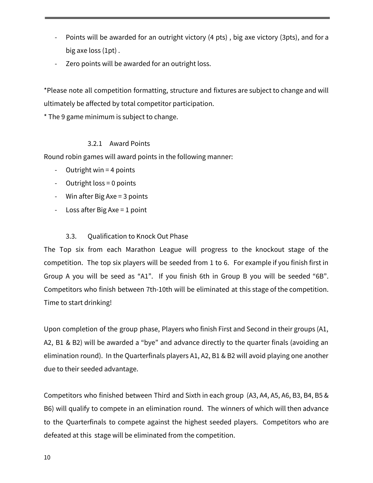- Points will be awarded for an outright victory (4 pts), big axe victory (3pts), and for a big axe loss (1pt) .
- Zero points will be awarded for an outright loss.

\*Please note all competition formatting, structure and fixtures are subject to change and will ultimately be affected by total competitor participation.

\* The 9 game minimum is subject to change.

#### 3.2.1 Award Points

Round robin games will award points in the following manner:

- Outright win = 4 points
- Outright loss = 0 points
- Win after Big Axe = 3 points
- Loss after Big Axe = 1 point

# 3.3. Qualification to Knock Out Phase

The Top six from each Marathon League will progress to the knockout stage of the competition. The top six players will be seeded from 1 to 6. For example if you finish first in Group A you will be seed as "A1". If you finish 6th in Group B you will be seeded "6B". Competitors who finish between 7th-10th will be eliminated at this stage of the competition. Time to start drinking!

Upon completion of the group phase, Players who finish First and Second in their groups (A1, A2, B1 & B2) will be awarded a "bye" and advance directly to the quarter finals (avoiding an elimination round). In the Quarterfinals players A1, A2, B1 & B2 will avoid playing one another due to their seeded advantage.

Competitors who finished between Third and Sixth in each group (A3, A4, A5, A6, B3, B4, B5 & B6) will qualify to compete in an elimination round. The winners of which will then advance to the Quarterfinals to compete against the highest seeded players. Competitors who are defeated at this stage will be eliminated from the competition.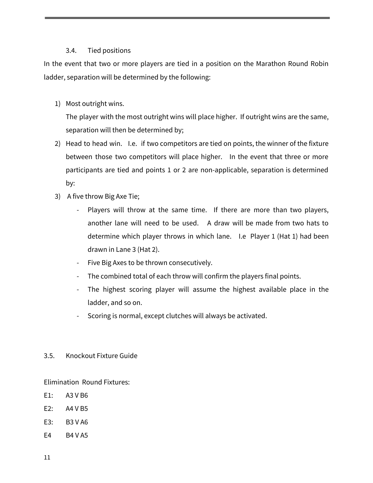# 3.4. Tied positions

In the event that two or more players are tied in a position on the Marathon Round Robin ladder, separation will be determined by the following:

1) Most outright wins.

The player with the most outright wins will place higher. If outright wins are the same, separation will then be determined by;

- 2) Head to head win. I.e. if two competitors are tied on points, the winner of the fixture between those two competitors will place higher. In the event that three or more participants are tied and points 1 or 2 are non-applicable, separation is determined by:
- 3) A five throw Big Axe Tie;
	- Players will throw at the same time. If there are more than two players, another lane will need to be used. A draw will be made from two hats to determine which player throws in which lane. I.e Player 1 (Hat 1) had been drawn in Lane 3 (Hat 2).
	- Five Big Axes to be thrown consecutively.
	- The combined total of each throw will confirm the players final points.
	- The highest scoring player will assume the highest available place in the ladder, and so on.
	- Scoring is normal, except clutches will always be activated.

# 3.5. Knockout Fixture Guide

Elimination Round Fixtures:

- E1: A3 V B6
- E2: A4 V B5
- E3: B3 V A6
- E4 B4 V A5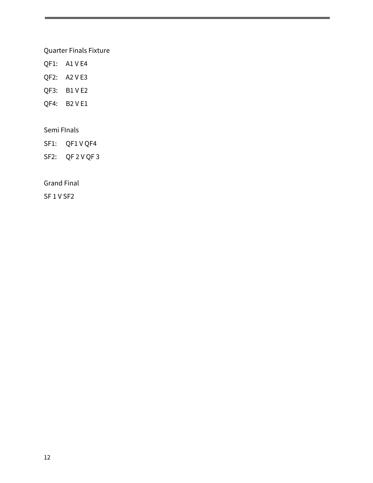## Quarter Finals Fixture

- QF1: A1 V E4
- QF2: A2 V E3
- QF3: B1 V E2
- QF4: B2 V E1

## Semi FInals

- SF1: QF1 V QF4
- SF2: QF 2 V QF 3

Grand Final

SF 1 V SF2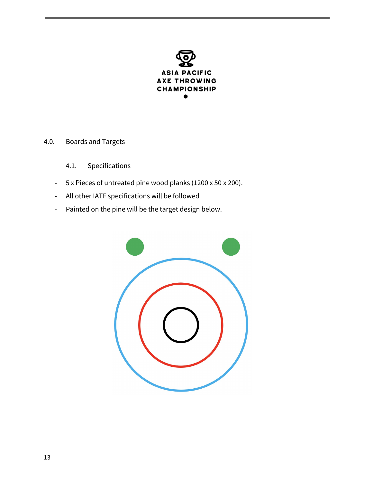

# 4.0. Boards and Targets

- 4.1. Specifications
- 5 x Pieces of untreated pine wood planks (1200 x 50 x 200).
- All other IATF specifications will be followed
- Painted on the pine will be the target design below.

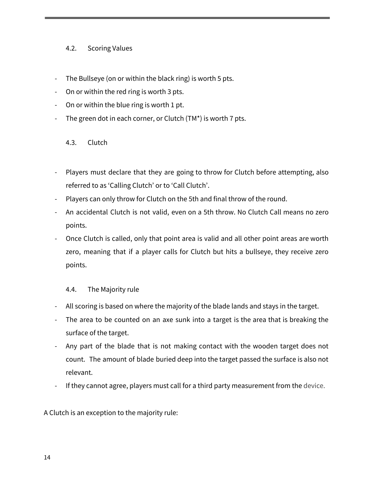## 4.2. Scoring Values

- The Bullseye (on or within the black ring) is worth 5 pts.
- On or within the red ring is worth 3 pts.
- On or within the blue ring is worth 1 pt.
- The green dot in each corner, or Clutch (TM\*) is worth 7 pts.

#### 4.3. Clutch

- Players must declare that they are going to throw for Clutch before attempting, also referred to as 'Calling Clutch' or to 'Call Clutch'.
- Players can only throw for Clutch on the 5th and final throw of the round.
- An accidental Clutch is not valid, even on a 5th throw. No Clutch Call means no zero points.
- Once Clutch is called, only that point area is valid and all other point areas are worth zero, meaning that if a player calls for Clutch but hits a bullseye, they receive zero points.

#### 4.4. The Majority rule

- All scoring is based on where the majority of the blade lands and stays in the target.
- The area to be counted on an axe sunk into a target is the area that is breaking the surface of the target.
- Any part of the blade that is not making contact with the wooden target does not count. The amount of blade buried deep into the target passed the surface is also not relevant.
- If they cannot agree, players must call for a third party measurement from the device.

A Clutch is an exception to the majority rule: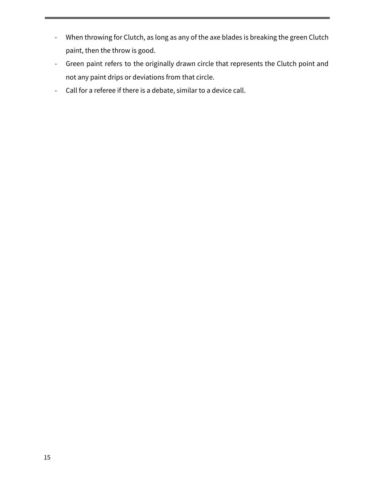- When throwing for Clutch, as long as any of the axe blades is breaking the green Clutch paint, then the throw is good.
- Green paint refers to the originally drawn circle that represents the Clutch point and not any paint drips or deviations from that circle.
- Call for a referee if there is a debate, similar to a device call.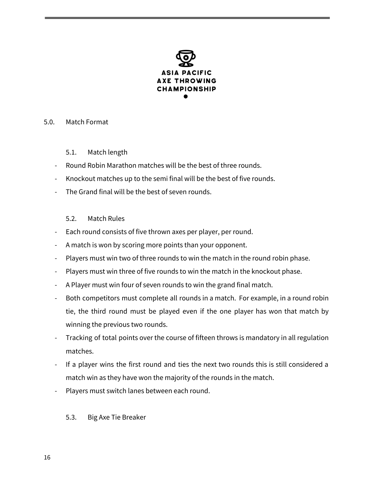

#### 5.0. Match Format

- 5.1. Match length
- Round Robin Marathon matches will be the best of three rounds.
- Knockout matches up to the semi final will be the best of five rounds.
- The Grand final will be the best of seven rounds.

# 5.2. Match Rules

- Each round consists of five thrown axes per player, per round.
- A match is won by scoring more points than your opponent.
- Players must win two of three rounds to win the match in the round robin phase.
- Players must win three of five rounds to win the match in the knockout phase.
- A Player must win four of seven rounds to win the grand final match.
- Both competitors must complete all rounds in a match. For example, in a round robin tie, the third round must be played even if the one player has won that match by winning the previous two rounds.
- Tracking of total points over the course of fifteen throws is mandatory in all regulation matches.
- If a player wins the first round and ties the next two rounds this is still considered a match win as they have won the majority of the rounds in the match.
- Players must switch lanes between each round.

# 5.3. Big Axe Tie Breaker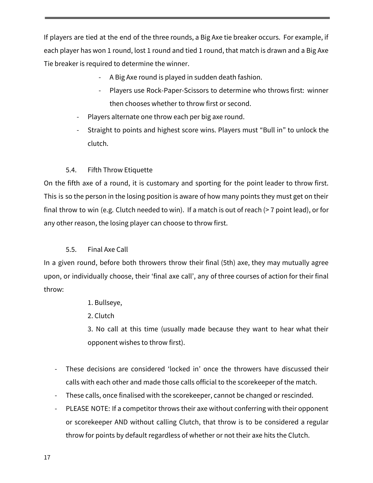If players are tied at the end of the three rounds, a Big Axe tie breaker occurs. For example, if each player has won 1 round, lost 1 round and tied 1 round, that match is drawn and a Big Axe Tie breaker is required to determine the winner.

- A Big Axe round is played in sudden death fashion.
- Players use Rock-Paper-Scissors to determine who throws first: winner then chooses whether to throw first or second.
- Players alternate one throw each per big axe round.
- Straight to points and highest score wins. Players must "Bull in" to unlock the clutch.

# 5.4. Fifth Throw Etiquette

On the fifth axe of a round, it is customary and sporting for the point leader to throw first. This is so the person in the losing position is aware of how many points they must get on their final throw to win (e.g. Clutch needed to win). If a match is out of reach (> 7 point lead), or for any other reason, the losing player can choose to throw first.

# 5.5. Final Axe Call

In a given round, before both throwers throw their final (5th) axe, they may mutually agree upon, or individually choose, their 'final axe call', any of three courses of action for their final throw:

1. Bullseye,

2. Clutch

3. No call at this time (usually made because they want to hear what their opponent wishes to throw first).

- These decisions are considered 'locked in' once the throwers have discussed their calls with each other and made those calls official to the scorekeeper of the match.
- These calls, once finalised with the scorekeeper, cannot be changed or rescinded.
- PLEASE NOTE: If a competitor throws their axe without conferring with their opponent or scorekeeper AND without calling Clutch, that throw is to be considered a regular throw for points by default regardless of whether or not their axe hits the Clutch.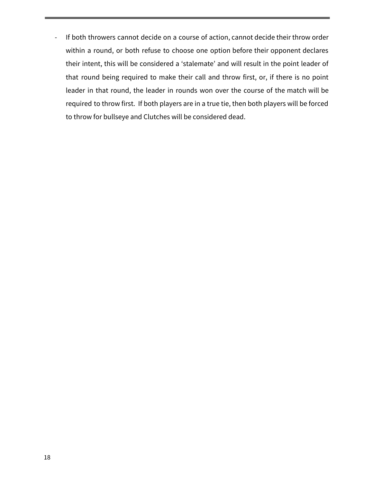- If both throwers cannot decide on a course of action, cannot decide their throw order within a round, or both refuse to choose one option before their opponent declares their intent, this will be considered a 'stalemate' and will result in the point leader of that round being required to make their call and throw first, or, if there is no point leader in that round, the leader in rounds won over the course of the match will be required to throw first. If both players are in a true tie, then both players will be forced to throw for bullseye and Clutches will be considered dead.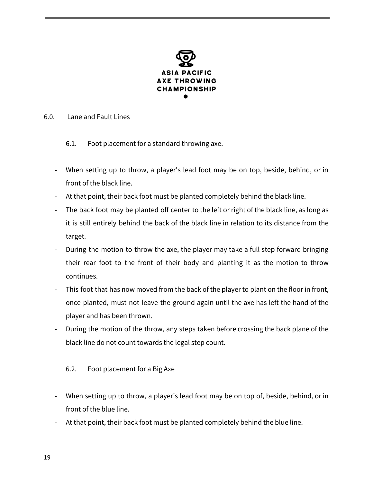

#### 6.0. Lane and Fault Lines

- 6.1. Foot placement for a standard throwing axe.
- When setting up to throw, a player's lead foot may be on top, beside, behind, or in front of the black line.
- At that point, their back foot must be planted completely behind the black line.
- The back foot may be planted off center to the left or right of the black line, as long as it is still entirely behind the back of the black line in relation to its distance from the target.
- During the motion to throw the axe, the player may take a full step forward bringing their rear foot to the front of their body and planting it as the motion to throw continues.
- This foot that has now moved from the back of the player to plant on the floor in front, once planted, must not leave the ground again until the axe has left the hand of the player and has been thrown.
- During the motion of the throw, any steps taken before crossing the back plane of the black line do not count towards the legal step count.

# 6.2. Foot placement for a Big Axe

- When setting up to throw, a player's lead foot may be on top of, beside, behind, or in front of the blue line.
- At that point, their back foot must be planted completely behind the blue line.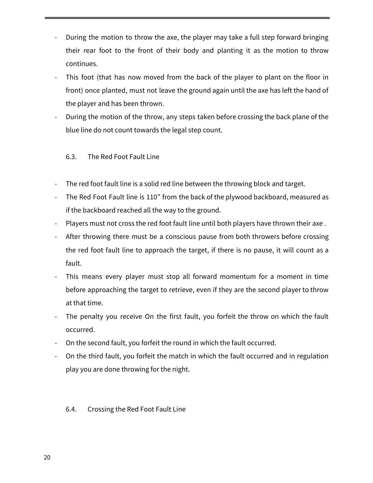- During the motion to throw the axe, the player may take a full step forward bringing their rear foot to the front of their body and planting it as the motion to throw continues.
- This foot (that has now moved from the back of the player to plant on the floor in front) once planted, must not leave the ground again until the axe has left the hand of the player and has been thrown.
- During the motion of the throw, any steps taken before crossing the back plane of the blue line do not count towards the legal step count.

# 6.3. The Red Foot Fault Line

- The red foot fault line is a solid red line between the throwing block and target.
- The Red Foot Fault line is 110" from the back of the plywood backboard, measured as if the backboard reached all the way to the ground.
- Players must not cross the red foot fault line until both players have thrown their axe .
- After throwing there must be a conscious pause from both throwers before crossing the red foot fault line to approach the target, if there is no pause, it will count as a fault.
- This means every player must stop all forward momentum for a moment in time before approaching the target to retrieve, even if they are the second player to throw at that time.
- The penalty you receive On the first fault, you forfeit the throw on which the fault occurred.
- On the second fault, you forfeit the round in which the fault occurred.
- On the third fault, you forfeit the match in which the fault occurred and in regulation play you are done throwing for the night.

# 6.4. Crossing the Red Foot Fault Line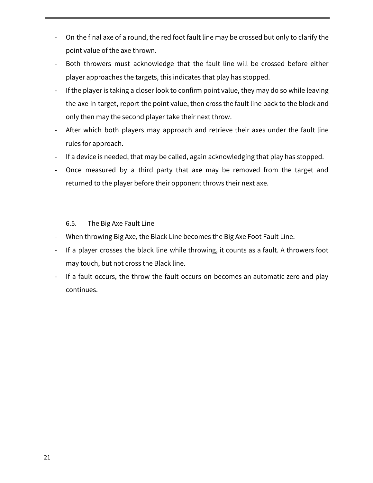- On the final axe of a round, the red foot fault line may be crossed but only to clarify the point value of the axe thrown.
- Both throwers must acknowledge that the fault line will be crossed before either player approaches the targets, this indicates that play has stopped.
- If the player is taking a closer look to confirm point value, they may do so while leaving the axe in target, report the point value, then cross the fault line back to the block and only then may the second player take their next throw.
- After which both players may approach and retrieve their axes under the fault line rules for approach.
- If a device is needed, that may be called, again acknowledging that play has stopped.
- Once measured by a third party that axe may be removed from the target and returned to the player before their opponent throws their next axe.

## 6.5. The Big Axe Fault Line

- When throwing Big Axe, the Black Line becomes the Big Axe Foot Fault Line.
- If a player crosses the black line while throwing, it counts as a fault. A throwers foot may touch, but not cross the Black line.
- If a fault occurs, the throw the fault occurs on becomes an automatic zero and play continues.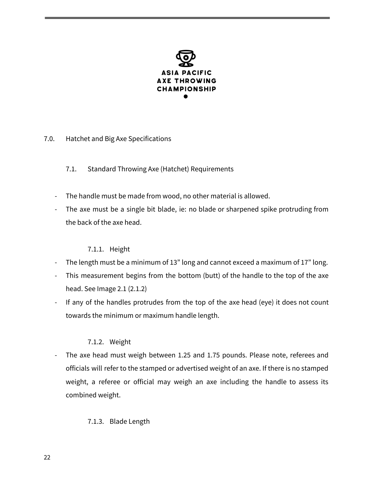

- 7.0. Hatchet and Big Axe Specifications
	- 7.1. Standard Throwing Axe (Hatchet) Requirements
	- The handle must be made from wood, no other material is allowed.
	- The axe must be a single bit blade, ie: no blade or sharpened spike protruding from the back of the axe head.

#### 7.1.1. Height

- The length must be a minimum of 13" long and cannot exceed a maximum of 17" long.
- This measurement begins from the bottom (butt) of the handle to the top of the axe head. See Image 2.1 (2.1.2)
- If any of the handles protrudes from the top of the axe head (eye) it does not count towards the minimum or maximum handle length.

# 7.1.2. Weight

- The axe head must weigh between 1.25 and 1.75 pounds. Please note, referees and officials will refer to the stamped or advertised weight of an axe. If there is no stamped weight, a referee or official may weigh an axe including the handle to assess its combined weight.

# 7.1.3. Blade Length